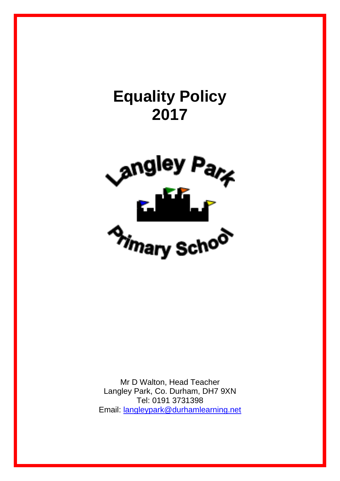

Mr D Walton, Head Teacher Langley Park, Co. Durham, DH7 9XN Tel: 0191 3731398 Email: [langleypark@durhamlearning.net](mailto:langleypark@durhamlearning.net)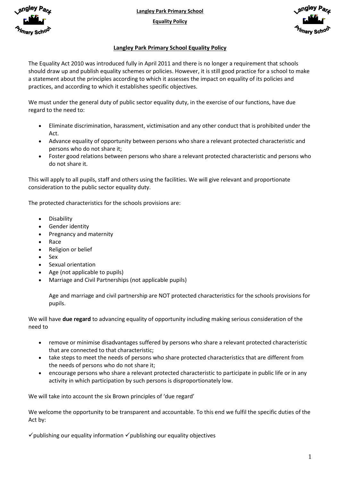

**Langley Park Primary School**

**Equality Policy**



## **Langley Park Primary School Equality Policy**

The Equality Act 2010 was introduced fully in April 2011 and there is no longer a requirement that schools should draw up and publish equality schemes or policies. However, it is still good practice for a school to make a statement about the principles according to which it assesses the impact on equality of its policies and practices, and according to which it establishes specific objectives.

We must under the general duty of public sector equality duty, in the exercise of our functions, have due regard to the need to:

- Eliminate discrimination, harassment, victimisation and any other conduct that is prohibited under the Act.
- Advance equality of opportunity between persons who share a relevant protected characteristic and persons who do not share it;
- Foster good relations between persons who share a relevant protected characteristic and persons who do not share it.

This will apply to all pupils, staff and others using the facilities. We will give relevant and proportionate consideration to the public sector equality duty.

The protected characteristics for the schools provisions are:

- **•** Disability
- Gender identity
- Pregnancy and maternity
- Race
- Religion or belief
- Sex
- Sexual orientation
- Age (not applicable to pupils)
- Marriage and Civil Partnerships (not applicable pupils)

Age and marriage and civil partnership are NOT protected characteristics for the schools provisions for pupils.

We will have **due regard** to advancing equality of opportunity including making serious consideration of the need to

- remove or minimise disadvantages suffered by persons who share a relevant protected characteristic that are connected to that characteristic;
- take steps to meet the needs of persons who share protected characteristics that are different from the needs of persons who do not share it;
- encourage persons who share a relevant protected characteristic to participate in public life or in any activity in which participation by such persons is disproportionately low.

We will take into account the six Brown principles of 'due regard'

We welcome the opportunity to be transparent and accountable. To this end we fulfil the specific duties of the Act by:

 $\checkmark$  publishing our equality information  $\checkmark$  publishing our equality objectives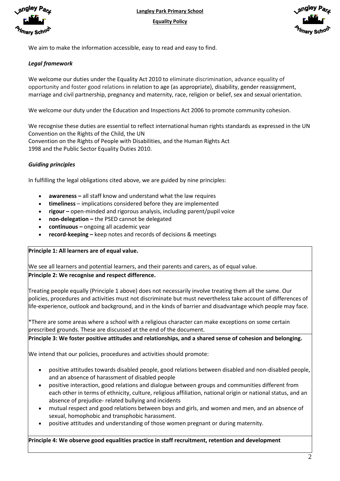



We aim to make the information accessible, easy to read and easy to find.

### *Legal framework*

We welcome our duties under the Equality Act 2010 to eliminate discrimination, advance equality of opportunity and foster good relations in relation to age (as appropriate), disability, gender reassignment, marriage and civil partnership, pregnancy and maternity, race, religion or belief, sex and sexual orientation.

We welcome our duty under the Education and Inspections Act 2006 to promote community cohesion.

We recognise these duties are essential to reflect international human rights standards as expressed in the UN Convention on the Rights of the Child, the UN Convention on the Rights of People with Disabilities, and the Human Rights Act 1998 and the Public Sector Equality Duties 2010.

## *Guiding principles*

In fulfilling the legal obligations cited above, we are guided by nine principles:

- **awareness –** all staff know and understand what the law requires
- **timeliness**  implications considered before they are implemented
- **rigour –** open-minded and rigorous analysis, including parent/pupil voice
- **non-delegation –** the PSED cannot be delegated
- **continuous –** ongoing all academic year
- **record-keeping –** keep notes and records of decisions & meetings

### **Principle 1: All learners are of equal value.**

We see all learners and potential learners, and their parents and carers, as of equal value.

### **Principle 2: We recognise and respect difference.**

Treating people equally (Principle 1 above) does not necessarily involve treating them all the same. Our policies, procedures and activities must not discriminate but must nevertheless take account of differences of life-experience, outlook and background, and in the kinds of barrier and disadvantage which people may face.

\*There are some areas where a school with a religious character can make exceptions on some certain prescribed grounds. These are discussed at the end of the document.

### **Principle 3: We foster positive attitudes and relationships, and a shared sense of cohesion and belonging.**

We intend that our policies, procedures and activities should promote:

- positive attitudes towards disabled people, good relations between disabled and non-disabled people, and an absence of harassment of disabled people
- positive interaction, good relations and dialogue between groups and communities different from each other in terms of ethnicity, culture, religious affiliation, national origin or national status, and an absence of prejudice- related bullying and incidents
- mutual respect and good relations between boys and girls, and women and men, and an absence of sexual, homophobic and transphobic harassment.
- positive attitudes and understanding of those women pregnant or during maternity.

### **Principle 4: We observe good equalities practice in staff recruitment, retention and development**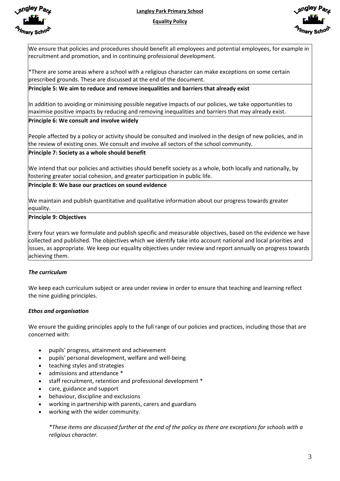

**Langley Park Primary School**

**Equality Policy**



We ensure that policies and procedures should benefit all employees and potential employees, for example in recruitment and promotion, and in continuing professional development.

\*There are some areas where a school with a religious character can make exceptions on some certain prescribed grounds. These are discussed at the end of the document.

### **Principle 5: We aim to reduce and remove inequalities and barriers that already exist**

In addition to avoiding or minimising possible negative impacts of our policies, we take opportunities to maximise positive impacts by reducing and removing inequalities and barriers that may already exist. **Principle 6: We consult and involve widely** 

People affected by a policy or activity should be consulted and involved in the design of new policies, and in the review of existing ones. We consult and involve all sectors of the school community.

### **Principle 7: Society as a whole should benefit**

We intend that our policies and activities should benefit society as a whole, both locally and nationally, by fostering greater social cohesion, and greater participation in public life.

**Principle 8: We base our practices on sound evidence** 

We maintain and publish quantitative and qualitative information about our progress towards greater equality.

### **Principle 9: Objectives**

Every four years we formulate and publish specific and measurable objectives, based on the evidence we have collected and published. The objectives which we identify take into account national and local priorities and issues, as appropriate. We keep our equality objectives under review and report annually on progress towards achieving them.

# *The curriculum*

We keep each curriculum subject or area under review in order to ensure that teaching and learning reflect the nine guiding principles.

### *Ethos and organisation*

We ensure the guiding principles apply to the full range of our policies and practices, including those that are concerned with:

- pupils' progress, attainment and achievement
- pupils' personal development, welfare and well-being
- teaching styles and strategies
- admissions and attendance \*
- staff recruitment, retention and professional development \*
- care, guidance and support
- behaviour, discipline and exclusions
- working in partnership with parents, carers and guardians
- working with the wider community.

*\*These items are discussed further at the end of the policy as there are exceptions for schools with a religious character.*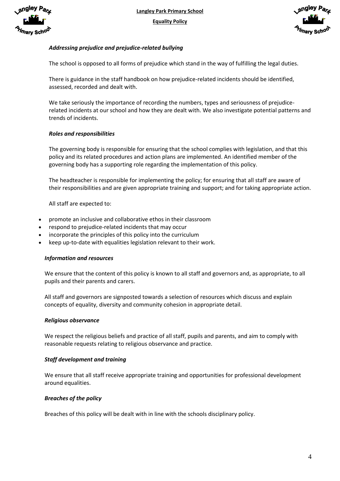



# *Addressing prejudice and prejudice-related bullying*

The school is opposed to all forms of prejudice which stand in the way of fulfilling the legal duties.

There is guidance in the staff handbook on how prejudice-related incidents should be identified, assessed, recorded and dealt with.

We take seriously the importance of recording the numbers, types and seriousness of prejudicerelated incidents at our school and how they are dealt with. We also investigate potential patterns and trends of incidents.

## *Roles and responsibilities*

The governing body is responsible for ensuring that the school complies with legislation, and that this policy and its related procedures and action plans are implemented. An identified member of the governing body has a supporting role regarding the implementation of this policy.

The headteacher is responsible for implementing the policy; for ensuring that all staff are aware of their responsibilities and are given appropriate training and support; and for taking appropriate action.

All staff are expected to:

- promote an inclusive and collaborative ethos in their classroom
- respond to prejudice-related incidents that may occur
- incorporate the principles of this policy into the curriculum
- keep up-to-date with equalities legislation relevant to their work.

### *Information and resources*

We ensure that the content of this policy is known to all staff and governors and, as appropriate, to all pupils and their parents and carers.

All staff and governors are signposted towards a selection of resources which discuss and explain concepts of equality, diversity and community cohesion in appropriate detail.

### *Religious observance*

We respect the religious beliefs and practice of all staff, pupils and parents, and aim to comply with reasonable requests relating to religious observance and practice.

### *Staff development and training*

We ensure that all staff receive appropriate training and opportunities for professional development around equalities.

### *Breaches of the policy*

Breaches of this policy will be dealt with in line with the schools disciplinary policy.